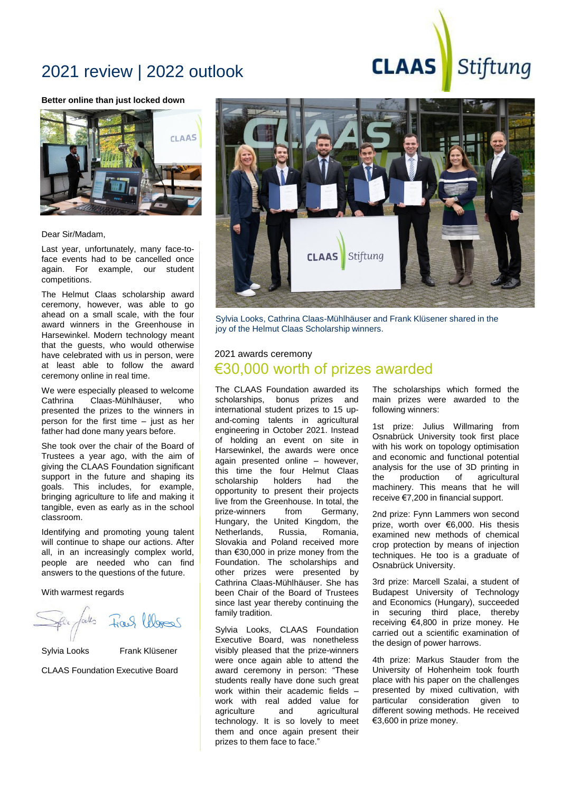# 2021 review | 2022 outlook

# Stiftung **CLAAS**

**Better online than just locked down**



#### Dear Sir/Madam,

Last year, unfortunately, many face-toface events had to be cancelled once again. For example, our student competitions.

The Helmut Claas scholarship award ceremony, however, was able to go ahead on a small scale, with the four award winners in the Greenhouse in Harsewinkel. Modern technology meant that the guests, who would otherwise have celebrated with us in person, were at least able to follow the award ceremony online in real time.

We were especially pleased to welcome Cathrina Claas-Mühlhäuser, who presented the prizes to the winners in person for the first time – just as her father had done many years before.

She took over the chair of the Board of Trustees a year ago, with the aim of giving the CLAAS Foundation significant support in the future and shaping its goals. This includes, for example, bringing agriculture to life and making it tangible, even as early as in the school classroom.

Identifying and promoting young talent will continue to shape our actions. After all, in an increasingly complex world, people are needed who can find answers to the questions of the future.

With warmest regards

Frank Wood

Sylvia Looks Frank Klüsener

CLAAS Foundation Executive Board



Sylvia Looks, Cathrina Claas-Mühlhäuser and Frank Klüsener shared in the joy of the Helmut Claas Scholarship winners.

### 2021 awards ceremony €30,000 worth of prizes awarded

The CLAAS Foundation awarded its scholarships, bonus prizes and international student prizes to 15 upand-coming talents in agricultural engineering in October 2021. Instead of holding an event on site in Harsewinkel, the awards were once again presented online – however, this time the four Helmut Claas scholarship holders had the opportunity to present their projects live from the Greenhouse. In total, the prize-winners from Germany, .<br>Hungary, the United Kingdom, the<br>Netherlands. Russia. Romania. Netherlands. Slovakia and Poland received more than €30,000 in prize money from the Foundation. The scholarships and other prizes were presented by Cathrina Claas-Mühlhäuser. She has been Chair of the Board of Trustees since last year thereby continuing the family tradition.

Sylvia Looks, CLAAS Foundation Executive Board, was nonetheless visibly pleased that the prize-winners were once again able to attend the award ceremony in person: "These students really have done such great work within their academic fields – work with real added value for agriculture and agricultural technology. It is so lovely to meet them and once again present their prizes to them face to face."

The scholarships which formed the main prizes were awarded to the following winners:

1st prize: Julius Willmaring from Osnabrück University took first place with his work on topology optimisation and economic and functional potential analysis for the use of 3D printing in the production of agricultural machinery. This means that he will receive €7,200 in financial support.

2nd prize: Fynn Lammers won second prize, worth over €6,000. His thesis examined new methods of chemical crop protection by means of injection techniques. He too is a graduate of Osnabrück University.

3rd prize: Marcell Szalai, a student of Budapest University of Technology and Economics (Hungary), succeeded in securing third place, thereby receiving €4,800 in prize money. He carried out a scientific examination of the design of power harrows.

4th prize: Markus Stauder from the University of Hohenheim took fourth place with his paper on the challenges presented by mixed cultivation, with particular consideration given to different sowing methods. He received €3,600 in prize money.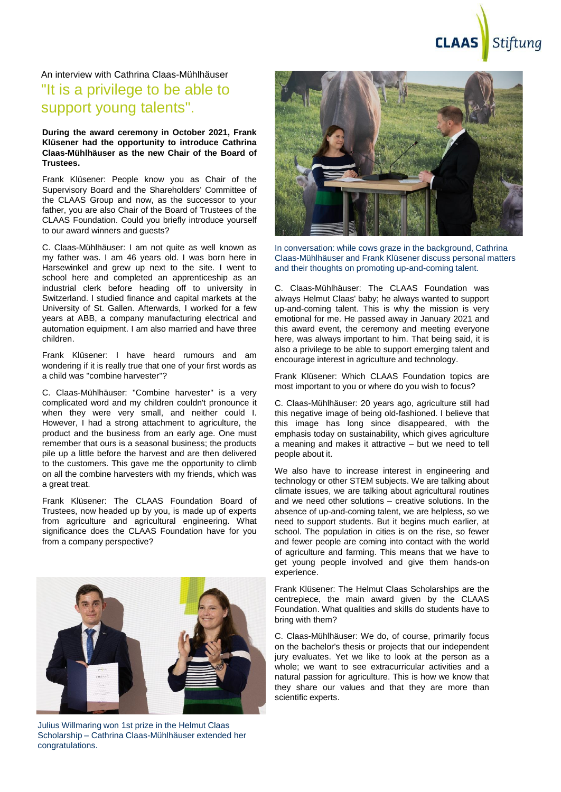# An interview with Cathrina Claas-Mühlhäuser "It is a privilege to be able to support young talents".

**During the award ceremony in October 2021, Frank Klüsener had the opportunity to introduce Cathrina Claas-Mühlhäuser as the new Chair of the Board of Trustees.**

Frank Klüsener: People know you as Chair of the Supervisory Board and the Shareholders' Committee of the CLAAS Group and now, as the successor to your father, you are also Chair of the Board of Trustees of the CLAAS Foundation. Could you briefly introduce yourself to our award winners and guests?

C. Claas-Mühlhäuser: I am not quite as well known as my father was. I am 46 years old. I was born here in Harsewinkel and grew up next to the site. I went to school here and completed an apprenticeship as an industrial clerk before heading off to university in Switzerland. I studied finance and capital markets at the University of St. Gallen. Afterwards, I worked for a few years at ABB, a company manufacturing electrical and automation equipment. I am also married and have three children.

Frank Klüsener: I have heard rumours and am wondering if it is really true that one of your first words as a child was "combine harvester"?

C. Claas-Mühlhäuser: "Combine harvester" is a very complicated word and my children couldn't pronounce it when they were very small, and neither could I. However, I had a strong attachment to agriculture, the product and the business from an early age. One must remember that ours is a seasonal business; the products pile up a little before the harvest and are then delivered to the customers. This gave me the opportunity to climb on all the combine harvesters with my friends, which was a great treat.

Frank Klüsener: The CLAAS Foundation Board of Trustees, now headed up by you, is made up of experts from agriculture and agricultural engineering. What significance does the CLAAS Foundation have for you from a company perspective?





Stiftung

**CLAAS** 

In conversation: while cows graze in the background, Cathrina Claas-Mühlhäuser and Frank Klüsener discuss personal matters and their thoughts on promoting up-and-coming talent.

C. Claas-Mühlhäuser: The CLAAS Foundation was always Helmut Claas' baby; he always wanted to support up-and-coming talent. This is why the mission is very emotional for me. He passed away in January 2021 and this award event, the ceremony and meeting everyone here, was always important to him. That being said, it is also a privilege to be able to support emerging talent and encourage interest in agriculture and technology.

Frank Klüsener: Which CLAAS Foundation topics are most important to you or where do you wish to focus?

C. Claas-Mühlhäuser: 20 years ago, agriculture still had this negative image of being old-fashioned. I believe that this image has long since disappeared, with the emphasis today on sustainability, which gives agriculture a meaning and makes it attractive – but we need to tell people about it.

We also have to increase interest in engineering and technology or other STEM subjects. We are talking about climate issues, we are talking about agricultural routines and we need other solutions – creative solutions. In the absence of up-and-coming talent, we are helpless, so we need to support students. But it begins much earlier, at school. The population in cities is on the rise, so fewer and fewer people are coming into contact with the world of agriculture and farming. This means that we have to get young people involved and give them hands-on experience.

Frank Klüsener: The Helmut Claas Scholarships are the centrepiece, the main award given by the CLAAS Foundation. What qualities and skills do students have to bring with them?

C. Claas-Mühlhäuser: We do, of course, primarily focus on the bachelor's thesis or projects that our independent jury evaluates. Yet we like to look at the person as a whole; we want to see extracurricular activities and a natural passion for agriculture. This is how we know that they share our values and that they are more than scientific experts.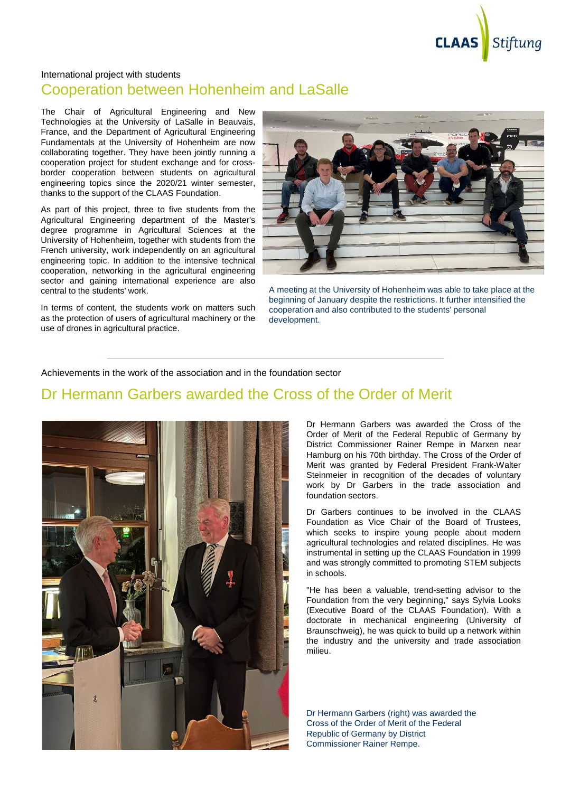Stiftung

### International project with students Cooperation between Hohenheim and LaSalle

The Chair of Agricultural Engineering and New Technologies at the University of LaSalle in Beauvais, France, and the Department of Agricultural Engineering Fundamentals at the University of Hohenheim are now collaborating together. They have been jointly running a cooperation project for student exchange and for crossborder cooperation between students on agricultural engineering topics since the 2020/21 winter semester, thanks to the support of the CLAAS Foundation.

As part of this project, three to five students from the Agricultural Engineering department of the Master's degree programme in Agricultural Sciences at the University of Hohenheim, together with students from the French university, work independently on an agricultural engineering topic. In addition to the intensive technical cooperation, networking in the agricultural engineering sector and gaining international experience are also central to the students' work.

In terms of content, the students work on matters such as the protection of users of agricultural machinery or the use of drones in agricultural practice.



A meeting at the University of Hohenheim was able to take place at the beginning of January despite the restrictions. It further intensified the cooperation and also contributed to the students' personal development.

#### Achievements in the work of the association and in the foundation sector

## Dr Hermann Garbers awarded the Cross of the Order of Merit



Dr Hermann Garbers was awarded the Cross of the Order of Merit of the Federal Republic of Germany by District Commissioner Rainer Rempe in Marxen near Hamburg on his 70th birthday. The Cross of the Order of Merit was granted by Federal President Frank-Walter Steinmeier in recognition of the decades of voluntary work by Dr Garbers in the trade association and foundation sectors.

Dr Garbers continues to be involved in the CLAAS Foundation as Vice Chair of the Board of Trustees, which seeks to inspire young people about modern agricultural technologies and related disciplines. He was instrumental in setting up the CLAAS Foundation in 1999 and was strongly committed to promoting STEM subjects in schools.

"He has been a valuable, trend-setting advisor to the Foundation from the very beginning," says Sylvia Looks (Executive Board of the CLAAS Foundation). With a doctorate in mechanical engineering (University of Braunschweig), he was quick to build up a network within the industry and the university and trade association milieu.

Dr Hermann Garbers (right) was awarded the Cross of the Order of Merit of the Federal Republic of Germany by District Commissioner Rainer Rempe.